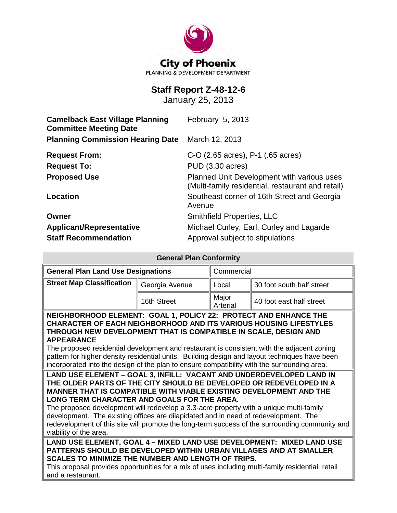

# **Staff Report Z-48-12-6**

January 25, 2013

| <b>Camelback East Village Planning</b><br><b>Committee Meeting Date</b> | February 5, 2013                                                                                |  |  |
|-------------------------------------------------------------------------|-------------------------------------------------------------------------------------------------|--|--|
| <b>Planning Commission Hearing Date</b>                                 | March 12, 2013                                                                                  |  |  |
| <b>Request From:</b>                                                    | C-O (2.65 acres), P-1 (.65 acres)                                                               |  |  |
| <b>Request To:</b>                                                      | PUD (3.30 acres)                                                                                |  |  |
| <b>Proposed Use</b>                                                     | Planned Unit Development with various uses<br>(Multi-family residential, restaurant and retail) |  |  |
| <b>Location</b>                                                         | Southeast corner of 16th Street and Georgia<br>Avenue                                           |  |  |
| Owner                                                                   | <b>Smithfield Properties, LLC</b>                                                               |  |  |
| <b>Applicant/Representative</b>                                         | Michael Curley, Earl, Curley and Lagarde                                                        |  |  |
| <b>Staff Recommendation</b>                                             | Approval subject to stipulations                                                                |  |  |

| <b>General Plan Conformity</b>                                                                                                                                                                                                                                                                                                                                                                                                                                                                                                                                                       |                |                   |                           |  |
|--------------------------------------------------------------------------------------------------------------------------------------------------------------------------------------------------------------------------------------------------------------------------------------------------------------------------------------------------------------------------------------------------------------------------------------------------------------------------------------------------------------------------------------------------------------------------------------|----------------|-------------------|---------------------------|--|
| <b>General Plan Land Use Designations</b>                                                                                                                                                                                                                                                                                                                                                                                                                                                                                                                                            |                | Commercial        |                           |  |
| <b>Street Map Classification</b>                                                                                                                                                                                                                                                                                                                                                                                                                                                                                                                                                     | Georgia Avenue | Local             | 30 foot south half street |  |
|                                                                                                                                                                                                                                                                                                                                                                                                                                                                                                                                                                                      | 16th Street    | Major<br>Arterial | 40 foot east half street  |  |
| NEIGHBORHOOD ELEMENT: GOAL 1, POLICY 22: PROTECT AND ENHANCE THE<br><b>CHARACTER OF EACH NEIGHBORHOOD AND ITS VARIOUS HOUSING LIFESTYLES</b><br>THROUGH NEW DEVELOPMENT THAT IS COMPATIBLE IN SCALE, DESIGN AND<br><b>APPEARANCE</b><br>The proposed residential development and restaurant is consistent with the adjacent zoning<br>pattern for higher density residential units. Building design and layout techniques have been<br>incorporated into the design of the plan to ensure compatibility with the surrounding area.                                                   |                |                   |                           |  |
| LAND USE ELEMENT - GOAL 3, INFILL: VACANT AND UNDERDEVELOPED LAND IN<br>THE OLDER PARTS OF THE CITY SHOULD BE DEVELOPED OR REDEVELOPED IN A<br><b>MANNER THAT IS COMPATIBLE WITH VIABLE EXISTING DEVELOPMENT AND THE</b><br>LONG TERM CHARACTER AND GOALS FOR THE AREA.<br>The proposed development will redevelop a 3.3-acre property with a unique multi-family<br>development. The existing offices are dilapidated and in need of redevelopment. The<br>redevelopment of this site will promote the long-term success of the surrounding community and<br>viability of the area. |                |                   |                           |  |
| LAND USE ELEMENT, GOAL 4 - MIXED LAND USE DEVELOPMENT: MIXED LAND USE<br>PATTERNS SHOULD BE DEVELOPED WITHIN URBAN VILLAGES AND AT SMALLER<br><b>SCALES TO MINIMIZE THE NUMBER AND LENGTH OF TRIPS.</b><br>This proposal provides opportunities for a mix of uses including multi-family residential, retail<br>and a restaurant.                                                                                                                                                                                                                                                    |                |                   |                           |  |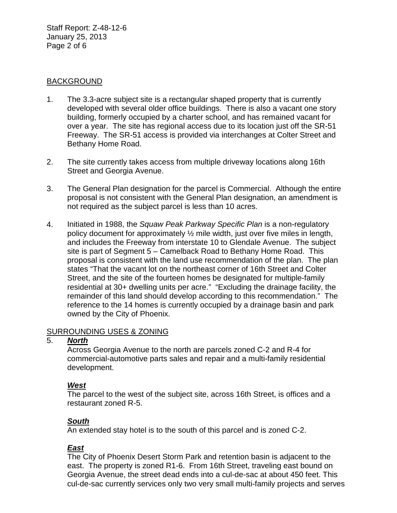Staff Report: Z-48-12-6 January 25, 2013 Page 2 of 6

### **BACKGROUND**

- 1. The 3.3-acre subject site is a rectangular shaped property that is currently developed with several older office buildings. There is also a vacant one story building, formerly occupied by a charter school, and has remained vacant for over a year. The site has regional access due to its location just off the SR-51 Freeway. The SR-51 access is provided via interchanges at Colter Street and Bethany Home Road.
- 2. The site currently takes access from multiple driveway locations along 16th Street and Georgia Avenue.
- 3. The General Plan designation for the parcel is Commercial. Although the entire proposal is not consistent with the General Plan designation, an amendment is not required as the subject parcel is less than 10 acres.
- 4. Initiated in 1988, the *Squaw Peak Parkway Specific Plan* is a non-regulatory policy document for approximately ½ mile width, just over five miles in length, and includes the Freeway from interstate 10 to Glendale Avenue. The subject site is part of Segment 5 – Camelback Road to Bethany Home Road. This proposal is consistent with the land use recommendation of the plan. The plan states "That the vacant lot on the northeast corner of 16th Street and Colter Street, and the site of the fourteen homes be designated for multiple-family residential at 30+ dwelling units per acre." "Excluding the drainage facility, the remainder of this land should develop according to this recommendation." The reference to the 14 homes is currently occupied by a drainage basin and park owned by the City of Phoenix.

# SURROUNDING USES & ZONING

### 5. *North*

Across Georgia Avenue to the north are parcels zoned C-2 and R-4 for commercial-automotive parts sales and repair and a multi-family residential development.

# *West*

The parcel to the west of the subject site, across 16th Street, is offices and a restaurant zoned R-5.

# *South*

An extended stay hotel is to the south of this parcel and is zoned C-2.

# *East*

The City of Phoenix Desert Storm Park and retention basin is adjacent to the east. The property is zoned R1-6. From 16th Street, traveling east bound on Georgia Avenue, the street dead ends into a cul-de-sac at about 450 feet. This cul-de-sac currently services only two very small multi-family projects and serves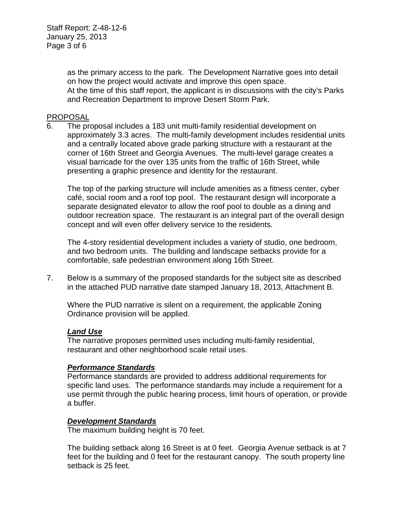as the primary access to the park. The Development Narrative goes into detail on how the project would activate and improve this open space. At the time of this staff report, the applicant is in discussions with the city's Parks and Recreation Department to improve Desert Storm Park.

### PROPOSAL

6. The proposal includes a 183 unit multi-family residential development on approximately 3.3 acres. The multi-family development includes residential units and a centrally located above grade parking structure with a restaurant at the corner of 16th Street and Georgia Avenues. The multi-level garage creates a visual barricade for the over 135 units from the traffic of 16th Street, while presenting a graphic presence and identity for the restaurant.

The top of the parking structure will include amenities as a fitness center, cyber café, social room and a roof top pool. The restaurant design will incorporate a separate designated elevator to allow the roof pool to double as a dining and outdoor recreation space. The restaurant is an integral part of the overall design concept and will even offer delivery service to the residents.

The 4-story residential development includes a variety of studio, one bedroom, and two bedroom units. The building and landscape setbacks provide for a comfortable, safe pedestrian environment along 16th Street.

7. Below is a summary of the proposed standards for the subject site as described in the attached PUD narrative date stamped January 18, 2013, Attachment B.

Where the PUD narrative is silent on a requirement, the applicable Zoning Ordinance provision will be applied.

### *Land Use*

The narrative proposes permitted uses including multi-family residential, restaurant and other neighborhood scale retail uses.

### *Performance Standards*

Performance standards are provided to address additional requirements for specific land uses. The performance standards may include a requirement for a use permit through the public hearing process, limit hours of operation, or provide a buffer.

### *Development Standards*

The maximum building height is 70 feet.

The building setback along 16 Street is at 0 feet. Georgia Avenue setback is at 7 feet for the building and 0 feet for the restaurant canopy. The south property line setback is 25 feet.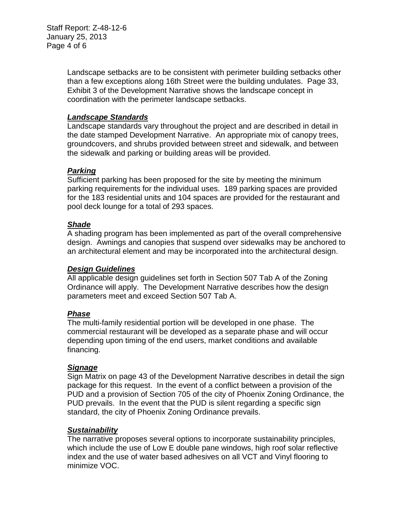Landscape setbacks are to be consistent with perimeter building setbacks other than a few exceptions along 16th Street were the building undulates. Page 33, Exhibit 3 of the Development Narrative shows the landscape concept in coordination with the perimeter landscape setbacks.

# *Landscape Standards*

Landscape standards vary throughout the project and are described in detail in the date stamped Development Narrative. An appropriate mix of canopy trees, groundcovers, and shrubs provided between street and sidewalk, and between the sidewalk and parking or building areas will be provided.

# *Parking*

Sufficient parking has been proposed for the site by meeting the minimum parking requirements for the individual uses. 189 parking spaces are provided for the 183 residential units and 104 spaces are provided for the restaurant and pool deck lounge for a total of 293 spaces.

# *Shade*

A shading program has been implemented as part of the overall comprehensive design. Awnings and canopies that suspend over sidewalks may be anchored to an architectural element and may be incorporated into the architectural design.

# *Design Guidelines*

All applicable design guidelines set forth in Section 507 Tab A of the Zoning Ordinance will apply. The Development Narrative describes how the design parameters meet and exceed Section 507 Tab A.

# *Phase*

The multi-family residential portion will be developed in one phase. The commercial restaurant will be developed as a separate phase and will occur depending upon timing of the end users, market conditions and available financing.

# *Signage*

Sign Matrix on page 43 of the Development Narrative describes in detail the sign package for this request. In the event of a conflict between a provision of the PUD and a provision of Section 705 of the city of Phoenix Zoning Ordinance, the PUD prevails. In the event that the PUD is silent regarding a specific sign standard, the city of Phoenix Zoning Ordinance prevails.

# *Sustainability*

The narrative proposes several options to incorporate sustainability principles, which include the use of Low E double pane windows, high roof solar reflective index and the use of water based adhesives on all VCT and Vinyl flooring to minimize VOC.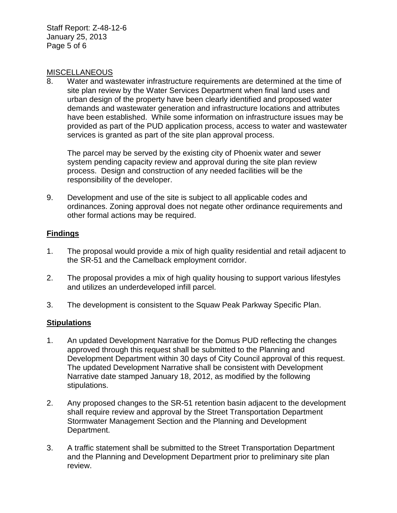Staff Report: Z-48-12-6 January 25, 2013 Page 5 of 6

### MISCELLANEOUS

8. Water and wastewater infrastructure requirements are determined at the time of site plan review by the Water Services Department when final land uses and urban design of the property have been clearly identified and proposed water demands and wastewater generation and infrastructure locations and attributes have been established. While some information on infrastructure issues may be provided as part of the PUD application process, access to water and wastewater services is granted as part of the site plan approval process.

The parcel may be served by the existing city of Phoenix water and sewer system pending capacity review and approval during the site plan review process. Design and construction of any needed facilities will be the responsibility of the developer.

9. Development and use of the site is subject to all applicable codes and ordinances. Zoning approval does not negate other ordinance requirements and other formal actions may be required.

# **Findings**

- 1. The proposal would provide a mix of high quality residential and retail adjacent to the SR-51 and the Camelback employment corridor.
- 2. The proposal provides a mix of high quality housing to support various lifestyles and utilizes an underdeveloped infill parcel.
- 3. The development is consistent to the Squaw Peak Parkway Specific Plan.

# **Stipulations**

- 1. An updated Development Narrative for the Domus PUD reflecting the changes approved through this request shall be submitted to the Planning and Development Department within 30 days of City Council approval of this request. The updated Development Narrative shall be consistent with Development Narrative date stamped January 18, 2012, as modified by the following stipulations.
- 2. Any proposed changes to the SR-51 retention basin adjacent to the development shall require review and approval by the Street Transportation Department Stormwater Management Section and the Planning and Development Department.
- 3. A traffic statement shall be submitted to the Street Transportation Department and the Planning and Development Department prior to preliminary site plan review.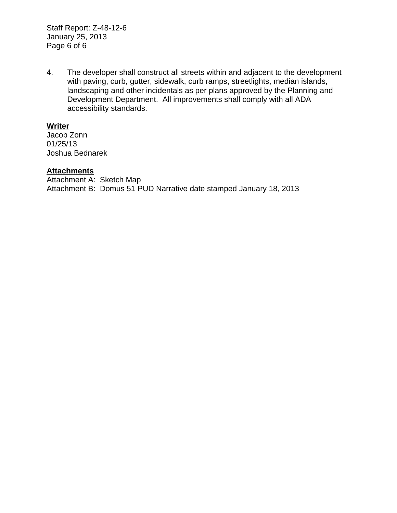Staff Report: Z-48-12-6 January 25, 2013 Page 6 of 6

4. The developer shall construct all streets within and adjacent to the development with paving, curb, gutter, sidewalk, curb ramps, streetlights, median islands, landscaping and other incidentals as per plans approved by the Planning and Development Department. All improvements shall comply with all ADA accessibility standards.

# **Writer**

Jacob Zonn 01/25/13 Joshua Bednarek

# **Attachments**

Attachment A: Sketch Map Attachment B: Domus 51 PUD Narrative date stamped January 18, 2013